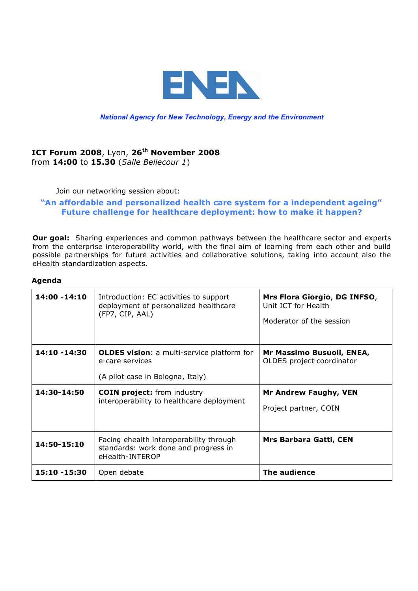

## *National Agency for New Technology, Energy and the Environment*

## **ICT Forum 2008**, Lyon, **26th November 2008**  from **14:00** to **15.30** (*Salle Bellecour 1*)

Join our networking session about:

## **"An affordable and personalized health care system for a independent ageing" Future challenge for healthcare deployment: how to make it happen?**

**Our goal:** Sharing experiences and common pathways between the healthcare sector and experts from the enterprise interoperability world, with the final aim of learning from each other and build possible partnerships for future activities and collaborative solutions, taking into account also the eHealth standardization aspects.

## **Agenda**

| 14:00 - 14:10               | Introduction: EC activities to support<br>deployment of personalized healthcare<br>(FP7, CIP, AAL)                                                                                          | Mrs Flora Giorgio, DG INFSO,<br>Unit ICT for Health<br>Moderator of the session                                 |
|-----------------------------|---------------------------------------------------------------------------------------------------------------------------------------------------------------------------------------------|-----------------------------------------------------------------------------------------------------------------|
| 14:10 -14:30<br>14:30-14:50 | <b>OLDES vision:</b> a multi-service platform for<br>e-care services<br>(A pilot case in Bologna, Italy)<br><b>COIN project:</b> from industry<br>interoperability to healthcare deployment | Mr Massimo Busuoli, ENEA,<br>OLDES project coordinator<br><b>Mr Andrew Faughy, VEN</b><br>Project partner, COIN |
| 14:50-15:10                 | Facing ehealth interoperability through<br>standards: work done and progress in<br>eHealth-INTEROP                                                                                          | <b>Mrs Barbara Gatti, CEN</b>                                                                                   |
| 15:10 -15:30                | Open debate                                                                                                                                                                                 | The audience                                                                                                    |